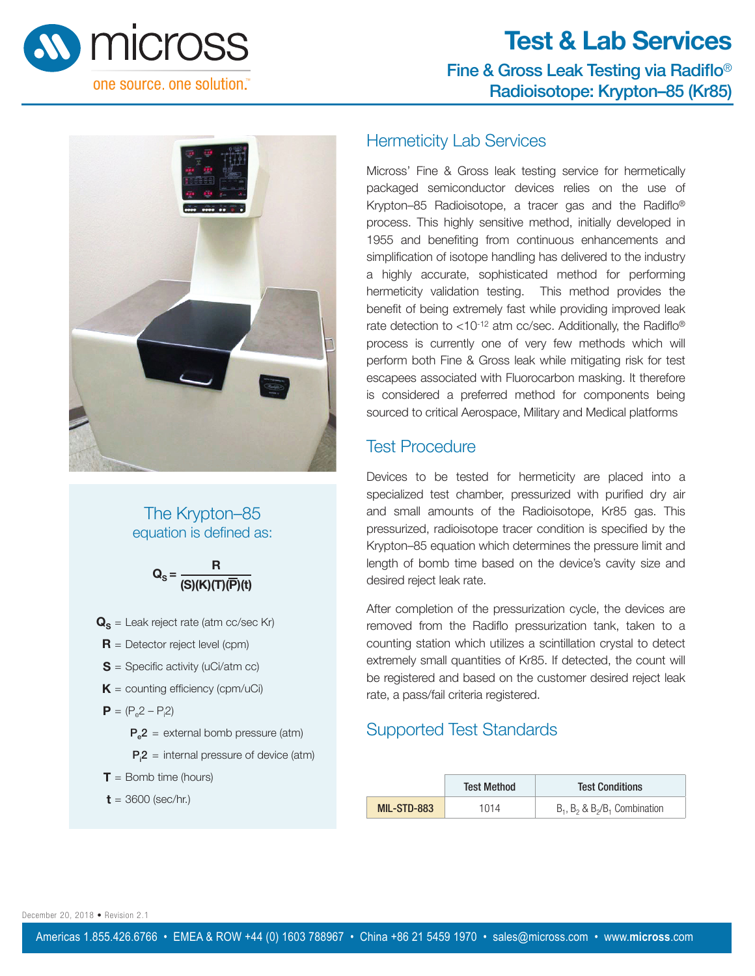

# **Test & Lab Services** Fine & Gross Leak Testing via Radiflo® Radioisotope: Krypton–85 (Kr85)



#### The Krypton–85 equation is defined as:



- $\mathbf{Q}_\mathbf{S}$  = Leak reject rate (atm cc/sec Kr)
- **R** = Detector reject level (cpm)
- **S** = Specific activity (uCi/atm cc)
- $K =$  counting efficiency (cpm/uCi)
- $P = (P_e 2 P_i 2)$ 
	- $P_e2$  = external bomb pressure (atm)
	- $P_12$  = internal pressure of device (atm)
- **= Bomb time (hours)**

 $t = 3600$  (sec/hr.)

#### Hermeticity Lab Services

Micross' Fine & Gross leak testing service for hermetically packaged semiconductor devices relies on the use of Krypton–85 Radioisotope, a tracer gas and the Radiflo® process. This highly sensitive method, initially developed in 1955 and benefiting from continuous enhancements and simplification of isotope handling has delivered to the industry a highly accurate, sophisticated method for performing hermeticity validation testing. This method provides the benefit of being extremely fast while providing improved leak rate detection to <10-12 atm cc/sec. Additionally, the Radiflo® process is currently one of very few methods which will perform both Fine & Gross leak while mitigating risk for test escapees associated with Fluorocarbon masking. It therefore is considered a preferred method for components being sourced to critical Aerospace, Military and Medical platforms

### Test Procedure

Devices to be tested for hermeticity are placed into a specialized test chamber, pressurized with purified dry air and small amounts of the Radioisotope, Kr85 gas. This pressurized, radioisotope tracer condition is specified by the Krypton–85 equation which determines the pressure limit and length of bomb time based on the device's cavity size and desired reject leak rate.

After completion of the pressurization cycle, the devices are removed from the Radiflo pressurization tank, taken to a counting station which utilizes a scintillation crystal to detect extremely small quantities of Kr85. If detected, the count will be registered and based on the customer desired reject leak rate, a pass/fail criteria registered.

### Supported Test Standards

|             | <b>Test Method</b> | <b>Test Conditions</b>                |
|-------------|--------------------|---------------------------------------|
| MIL-STD-883 | 1014               | $B_1$ , $B_2$ & $B_2/B_1$ Combination |

December 20, 2018 • Revision 2.1